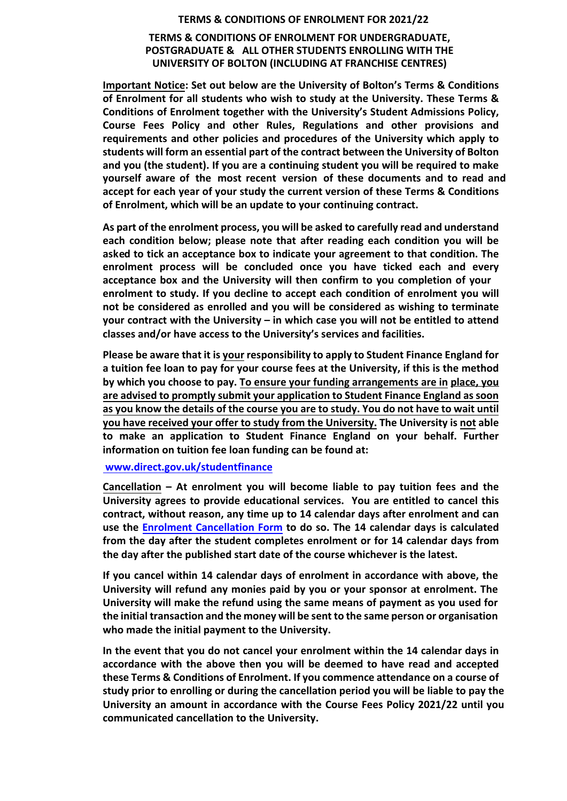## **TERMS & CONDITIONS OF ENROLMENT FOR 2021/22**

## **TERMS & CONDITIONS OF ENROLMENT FOR UNDERGRADUATE, POSTGRADUATE & ALL OTHER STUDENTS ENROLLING WITH THE UNIVERSITY OF BOLTON (INCLUDING AT FRANCHISE CENTRES)**

**Important Notice: Set out below are the University of Bolton's Terms & Conditions of Enrolment for all students who wish to study at the University. These Terms & Conditions of Enrolment together with the University's Student Admissions Policy, Course Fees Policy and other Rules, Regulations and other provisions and requirements and other policies and procedures of the University which apply to students will form an essential part of the contract between the University of Bolton and you (the student). If you are a continuing student you will be required to make yourself aware of the most recent version of these documents and to read and accept for each year of your study the current version of these Terms & Conditions of Enrolment, which will be an update to your continuing contract.** 

**As part of the enrolment process, you will be asked to carefully read and understand each condition below; please note that after reading each condition you will be asked to tick an acceptance box to indicate your agreement to that condition. The enrolment process will be concluded once you have ticked each and every acceptance box and the University will then confirm to you completion of your enrolment to study. If you decline to accept each condition of enrolment you will not be considered as enrolled and you will be considered as wishing to terminate your contract with the University – in which case you will not be entitled to attend classes and/or have access to the University's services and facilities.**

**Please be aware that it is your responsibility to apply to Student Finance England for a tuition fee loan to pay for your course fees at the University, if this is the method by which you choose to pay. To ensure your funding arrangements are in place, you are advised to promptly submit your application to Student Finance England as soon as you know the details of the course you are to study. You do not have to wait until you have received your offer to study from the University. The University is not able to make an application to Student Finance England on your behalf. Further information on tuition fee loan funding can be found at:**

## **www.direct.gov.uk/studentfinance**

**Cancellation – At enrolment you will become liable to pay tuition fees and the University agrees to provide educational services. You are entitled to cancel this contract, without reason, any time up to 14 calendar days after enrolment and can use the Enrolment Cancellation Form to do so. The 14 calendar days is calculated from the day after the student completes enrolment or for 14 calendar days from the day after the published start date of the course whichever is the latest.** 

**If you cancel within 14 calendar days of enrolment in accordance with above, the University will refund any monies paid by you or your sponsor at enrolment. The University will make the refund using the same means of payment as you used for the initial transaction and the money will be sent to the same person or organisation who made the initial payment to the University.**

**In the event that you do not cancel your enrolment within the 14 calendar days in accordance with the above then you will be deemed to have read and accepted these Terms & Conditions of Enrolment. If you commence attendance on a course of study prior to enrolling or during the cancellation period you will be liable to pay the University an amount in accordance with the Course Fees Policy 2021/22 until you communicated cancellation to the University.**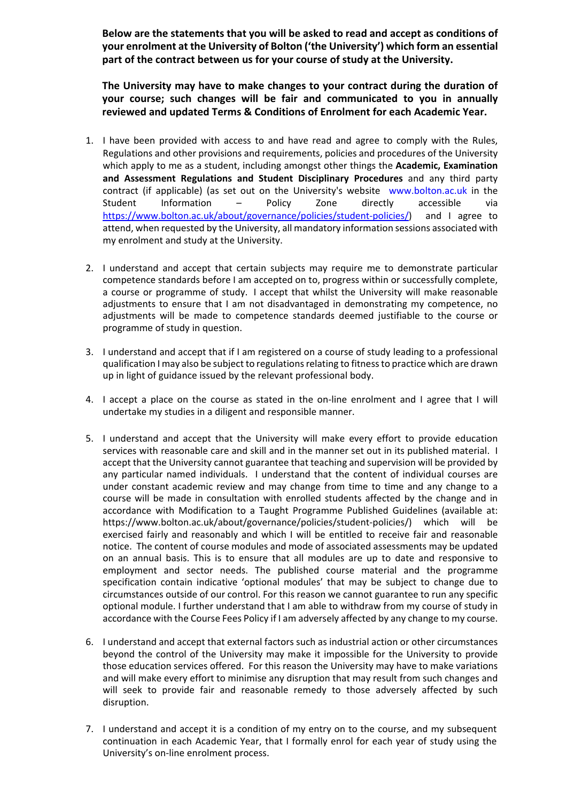**Below are the statements that you will be asked to read and accept as conditions of your enrolment at the University of Bolton ('the University') which form an essential part of the contract between us for your course of study at the University.** 

**The University may have to make changes to your contract during the duration of your course; such changes will be fair and communicated to you in annually reviewed and updated Terms & Conditions of Enrolment for each Academic Year.**

- 1. I have been provided with access to and have read and agree to comply with the Rules, Regulations and other provisions and requirements, policies and procedures of the University which apply to me as a student, including amongst other things the **Academic, Examination and Assessment Regulations and Student Disciplinary Procedures**  and any third party contract (if applicable) (as set out on the University's website www.bolton.ac.uk in the Student Information – Policy Zone directly accessible via https://www.bolton.ac.uk/about/governance/policies/student‐policies/) and I agree to attend, when requested by the University, all mandatory information sessions associated with my enrolment and study at the University.
- 2. I understand and accept that certain subjects may require me to demonstrate particular competence standards before I am accepted on to, progress within or successfully complete, a course or programme of study. I accept that whilst the University will make reasonable adjustments to ensure that I am not disadvantaged in demonstrating my competence, no adjustments will be made to competence standards deemed justifiable to the course or programme of study in question.
- 3. I understand and accept that if I am registered on a course of study leading to a professional qualification I may also be subject to regulations relating to fitness to practice which are drawn up in light of guidance issued by the relevant professional body.
- 4. I accept a place on the course as stated in the on-line enrolment and I agree that I will undertake my studies in a diligent and responsible manner.
- 5. I understand and accept that the University will make every effort to provide education services with reasonable care and skill and in the manner set out in its published material. I accept that the University cannot guarantee that teaching and supervision will be provided by any particular named individuals. I understand that the content of individual courses are under constant academic review and may change from time to time and any change to a course will be made in consultation with enrolled students affected by the change and in accordance with Modification to a Taught Programme Published Guidelines (available at: https://www.bolton.ac.uk/about/governance/policies/student‐policies/) which will be exercised fairly and reasonably and which I will be entitled to receive fair and reasonable notice. The content of course modules and mode of associated assessments may be updated on an annual basis. This is to ensure that all modules are up to date and responsive to employment and sector needs. The published course material and the programme specification contain indicative 'optional modules' that may be subject to change due to circumstances outside of our control. For this reason we cannot guarantee to run any specific optional module. I further understand that I am able to withdraw from my course of study in accordance with the Course Fees Policy if I am adversely affected by any change to my course.
- 6. I understand and accept that external factors such as industrial action or other circumstances beyond the control of the University may make it impossible for the University to provide those education services offered. For this reason the University may have to make variations and will make every effort to minimise any disruption that may result from such changes and will seek to provide fair and reasonable remedy to those adversely affected by such disruption.
- 7. I understand and accept it is a condition of my entry on to the course, and my subsequent continuation in each Academic Year, that I formally enrol for each year of study using the University's on‐line enrolment process.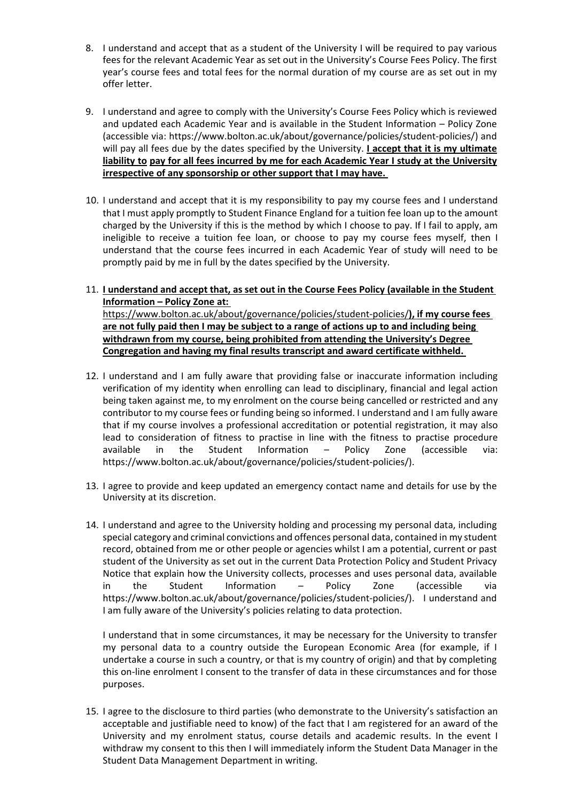- 8. I understand and accept that as a student of the University I will be required to pay various fees for the relevant Academic Year as set out in the University's Course Fees Policy. The first year's course fees and total fees for the normal duration of my course are as set out in my offer letter.
- 9. I understand and agree to comply with the University's Course Fees Policy which is reviewed and updated each Academic Year and is available in the Student Information – Policy Zone (accessible via: https://www.bolton.ac.uk/about/governance/policies/student‐policies/) and will pay all fees due by the dates specified by the University. **I accept that it is my ultimate liability to pay for all fees incurred by me for each Academic Year I study at the University irrespective of any sponsorship or other support that I may have.**
- 10. I understand and accept that it is my responsibility to pay my course fees and I understand that I must apply promptly to Student Finance England for a tuition fee loan up to the amount charged by the University if this is the method by which I choose to pay. If I fail to apply, am ineligible to receive a tuition fee loan, or choose to pay my course fees myself, then I understand that the course fees incurred in each Academic Year of study will need to be promptly paid by me in full by the dates specified by the University.
- 11. **I understand and accept that, as set out in the Course Fees Policy (available in the Student Information – Policy Zone at:** https://www.bolton.ac.uk/about/governance/policies/student‐policies/**), if my course fees are not fully paid then I may be subject to a range of actions up to and including being**

**withdrawn from my course, being prohibited from attending the University's Degree Congregation and having my final results transcript and award certificate withheld.**

- 12. I understand and I am fully aware that providing false or inaccurate information including verification of my identity when enrolling can lead to disciplinary, financial and legal action being taken against me, to my enrolment on the course being cancelled or restricted and any contributor to my course fees or funding being so informed. I understand and I am fully aware that if my course involves a professional accreditation or potential registration, it may also lead to consideration of fitness to practise in line with the fitness to practise procedure available in the Student Information – Policy Zone (accessible via: https://www.bolton.ac.uk/about/governance/policies/student-policies/).
- 13. I agree to provide and keep updated an emergency contact name and details for use by the University at its discretion.
- 14. I understand and agree to the University holding and processing my personal data, including special category and criminal convictions and offences personal data, contained in my student record, obtained from me or other people or agencies whilst I am a potential, current or past student of the University as set out in the current Data Protection Policy and Student Privacy Notice that explain how the University collects, processes and uses personal data, available in the Student Information – Policy Zone (accessible via https://www.bolton.ac.uk/about/governance/policies/student‐policies/). I understand and I am fully aware of the University's policies relating to data protection.

I understand that in some circumstances, it may be necessary for the University to transfer my personal data to a country outside the European Economic Area (for example, if I undertake a course in such a country, or that is my country of origin) and that by completing this on-line enrolment I consent to the transfer of data in these circumstances and for those purposes.

15. I agree to the disclosure to third parties (who demonstrate to the University's satisfaction an acceptable and justifiable need to know) of the fact that I am registered for an award of the University and my enrolment status, course details and academic results. In the event I withdraw my consent to this then I will immediately inform the Student Data Manager in the Student Data Management Department in writing.